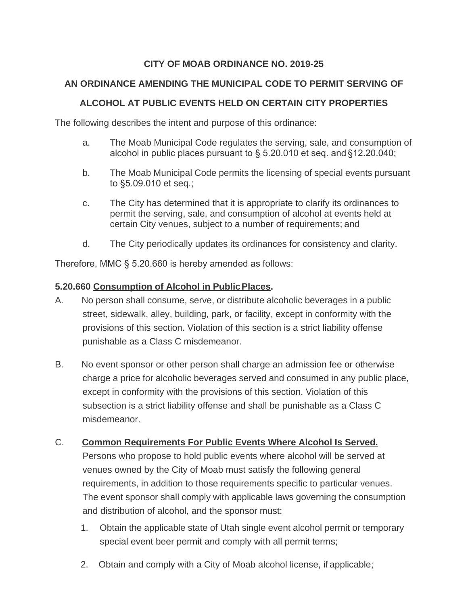# **CITY OF MOAB ORDINANCE NO. 2019-25**

# **AN ORDINANCE AMENDING THE MUNICIPAL CODE TO PERMIT SERVING OF**

### **ALCOHOL AT PUBLIC EVENTS HELD ON CERTAIN CITY PROPERTIES**

The following describes the intent and purpose of this ordinance:

- a. The Moab Municipal Code regulates the serving, sale, and consumption of alcohol in public places pursuant to § 5.20.010 et seq. and §12.20.040;
- b. The Moab Municipal Code permits the licensing of special events pursuant to §5.09.010 et seq.;
- c. The City has determined that it is appropriate to clarify its ordinances to permit the serving, sale, and consumption of alcohol at events held at certain City venues, subject to a number of requirements; and
- d. The City periodically updates its ordinances for consistency and clarity.

Therefore, MMC § 5.20.660 is hereby amended as follows:

#### **5.20.660 Consumption of Alcohol in PublicPlaces.**

- A. No person shall consume, serve, or distribute alcoholic beverages in a public street, sidewalk, alley, building, park, or facility, except in conformity with the provisions of this section. Violation of this section is a strict liability offense punishable as a Class C misdemeanor.
- B. No event sponsor or other person shall charge an admission fee or otherwise charge a price for alcoholic beverages served and consumed in any public place, except in conformity with the provisions of this section. Violation of this subsection is a strict liability offense and shall be punishable as a Class C misdemeanor.

### C. **Common Requirements For Public Events Where Alcohol Is Served.**

Persons who propose to hold public events where alcohol will be served at venues owned by the City of Moab must satisfy the following general requirements, in addition to those requirements specific to particular venues. The event sponsor shall comply with applicable laws governing the consumption and distribution of alcohol, and the sponsor must:

- 1. Obtain the applicable state of Utah single event alcohol permit or temporary special event beer permit and comply with all permit terms;
- 2. Obtain and comply with a City of Moab alcohol license, if applicable;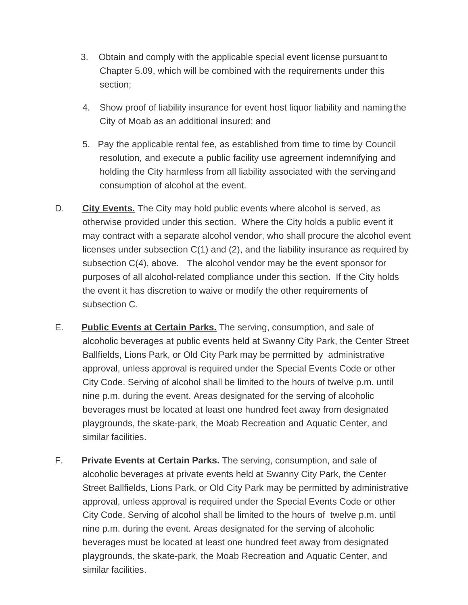- 3. Obtain and comply with the applicable special event license pursuant to Chapter 5.09, which will be combined with the requirements under this section;
- 4. Show proof of liability insurance for event host liquor liability and namingthe City of Moab as an additional insured; and
- 5. Pay the applicable rental fee, as established from time to time by Council resolution, and execute a public facility use agreement indemnifying and holding the City harmless from all liability associated with the servingand consumption of alcohol at the event.
- D. **City Events.** The City may hold public events where alcohol is served, as otherwise provided under this section. Where the City holds a public event it may contract with a separate alcohol vendor, who shall procure the alcohol event licenses under subsection C(1) and (2), and the liability insurance as required by subsection C(4), above. The alcohol vendor may be the event sponsor for purposes of all alcohol-related compliance under this section. If the City holds the event it has discretion to waive or modify the other requirements of subsection C.
- E. **Public Events at Certain Parks.** The serving, consumption, and sale of alcoholic beverages at public events held at Swanny City Park, the Center Street Ballfields, Lions Park, or Old City Park may be permitted by administrative approval, unless approval is required under the Special Events Code or other City Code. Serving of alcohol shall be limited to the hours of twelve p.m. until nine p.m. during the event. Areas designated for the serving of alcoholic beverages must be located at least one hundred feet away from designated playgrounds, the skate-park, the Moab Recreation and Aquatic Center, and similar facilities.
- F. **Private Events at Certain Parks.** The serving, consumption, and sale of alcoholic beverages at private events held at Swanny City Park, the Center Street Ballfields, Lions Park, or Old City Park may be permitted by administrative approval, unless approval is required under the Special Events Code or other City Code. Serving of alcohol shall be limited to the hours of twelve p.m. until nine p.m. during the event. Areas designated for the serving of alcoholic beverages must be located at least one hundred feet away from designated playgrounds, the skate-park, the Moab Recreation and Aquatic Center, and similar facilities.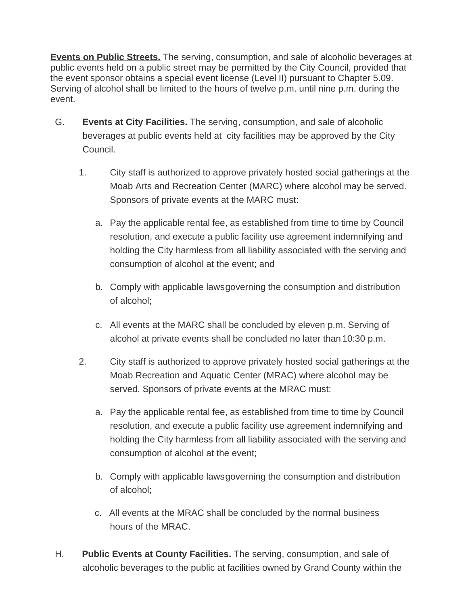**Events on Public Streets.** The serving, consumption, and sale of alcoholic beverages at public events held on a public street may be permitted by the City Council, provided that the event sponsor obtains a special event license (Level II) pursuant to Chapter 5.09. Serving of alcohol shall be limited to the hours of twelve p.m. until nine p.m. during the event.

- G. **Events at City Facilities.** The serving, consumption, and sale of alcoholic beverages at public events held at city facilities may be approved by the City Council.
	- 1. City staff is authorized to approve privately hosted social gatherings at the Moab Arts and Recreation Center (MARC) where alcohol may be served. Sponsors of private events at the MARC must:
		- a. Pay the applicable rental fee, as established from time to time by Council resolution, and execute a public facility use agreement indemnifying and holding the City harmless from all liability associated with the serving and consumption of alcohol at the event; and
		- b. Comply with applicable lawsgoverning the consumption and distribution of alcohol;
		- c. All events at the MARC shall be concluded by eleven p.m. Serving of alcohol at private events shall be concluded no later than 10:30 p.m.
	- 2. City staff is authorized to approve privately hosted social gatherings at the Moab Recreation and Aquatic Center (MRAC) where alcohol may be served. Sponsors of private events at the MRAC must:
		- a. Pay the applicable rental fee, as established from time to time by Council resolution, and execute a public facility use agreement indemnifying and holding the City harmless from all liability associated with the serving and consumption of alcohol at the event;
		- b. Comply with applicable lawsgoverning the consumption and distribution of alcohol;
		- c. All events at the MRAC shall be concluded by the normal business hours of the MRAC.
- H. **Public Events at County Facilities.** The serving, consumption, and sale of alcoholic beverages to the public at facilities owned by Grand County within the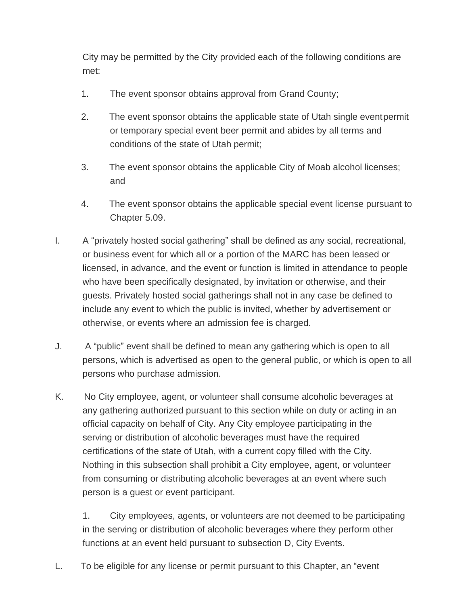City may be permitted by the City provided each of the following conditions are met:

- 1. The event sponsor obtains approval from Grand County;
- 2. The event sponsor obtains the applicable state of Utah single eventpermit or temporary special event beer permit and abides by all terms and conditions of the state of Utah permit;
- 3. The event sponsor obtains the applicable City of Moab alcohol licenses; and
- 4. The event sponsor obtains the applicable special event license pursuant to Chapter 5.09.
- I. A "privately hosted social gathering" shall be defined as any social, recreational, or business event for which all or a portion of the MARC has been leased or licensed, in advance, and the event or function is limited in attendance to people who have been specifically designated, by invitation or otherwise, and their guests. Privately hosted social gatherings shall not in any case be defined to include any event to which the public is invited, whether by advertisement or otherwise, or events where an admission fee is charged.
- J. A "public" event shall be defined to mean any gathering which is open to all persons, which is advertised as open to the general public, or which is open to all persons who purchase admission.
- K. No City employee, agent, or volunteer shall consume alcoholic beverages at any gathering authorized pursuant to this section while on duty or acting in an official capacity on behalf of City. Any City employee participating in the serving or distribution of alcoholic beverages must have the required certifications of the state of Utah, with a current copy filled with the City. Nothing in this subsection shall prohibit a City employee, agent, or volunteer from consuming or distributing alcoholic beverages at an event where such person is a guest or event participant.

1. City employees, agents, or volunteers are not deemed to be participating in the serving or distribution of alcoholic beverages where they perform other functions at an event held pursuant to subsection D, City Events.

L. To be eligible for any license or permit pursuant to this Chapter, an "event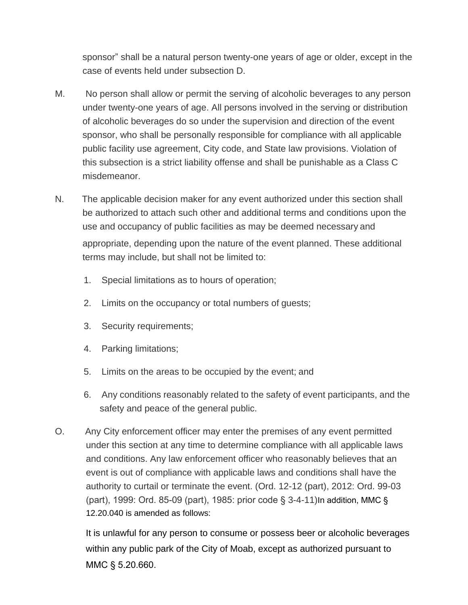sponsor" shall be a natural person twenty-one years of age or older, except in the case of events held under subsection D.

- M. No person shall allow or permit the serving of alcoholic beverages to any person under twenty-one years of age. All persons involved in the serving or distribution of alcoholic beverages do so under the supervision and direction of the event sponsor, who shall be personally responsible for compliance with all applicable public facility use agreement, City code, and State law provisions. Violation of this subsection is a strict liability offense and shall be punishable as a Class C misdemeanor.
- N. The applicable decision maker for any event authorized under this section shall be authorized to attach such other and additional terms and conditions upon the use and occupancy of public facilities as may be deemed necessary and appropriate, depending upon the nature of the event planned. These additional terms may include, but shall not be limited to:
	- 1. Special limitations as to hours of operation;
	- 2. Limits on the occupancy or total numbers of guests;
	- 3. Security requirements;
	- 4. Parking limitations;
	- 5. Limits on the areas to be occupied by the event; and
	- 6. Any conditions reasonably related to the safety of event participants, and the safety and peace of the general public.
- O. Any City enforcement officer may enter the premises of any event permitted under this section at any time to determine compliance with all applicable laws and conditions. Any law enforcement officer who reasonably believes that an event is out of compliance with applicable laws and conditions shall have the authority to curtail or terminate the event. (Ord. 12-12 (part), 2012: Ord. 99-03 (part), 1999: Ord. 85-09 (part), 1985: prior code § 3-4-11)In addition, MMC § 12.20.040 is amended as follows:

It is unlawful for any person to consume or possess beer or alcoholic beverages within any public park of the City of Moab, except as authorized pursuant to MMC § 5.20.660.